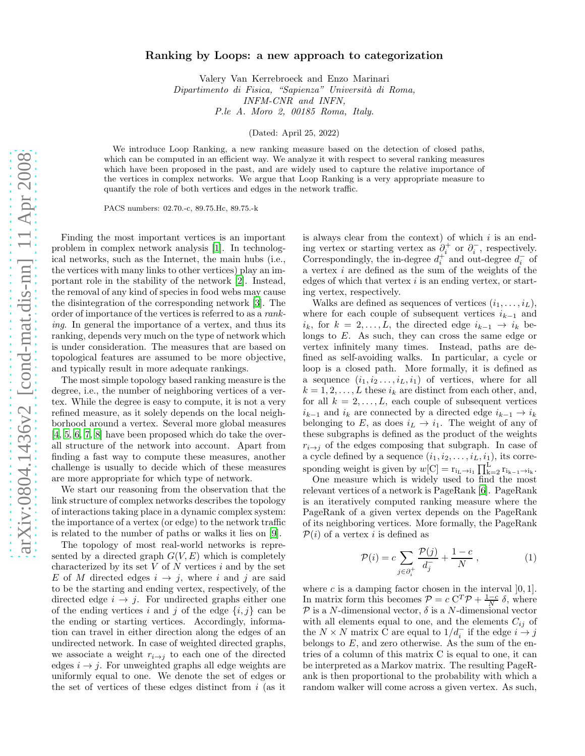## Ranking by Loops: a new approach to categorization

Valery Van Kerrebroeck and Enzo Marinari Dipartimento di Fisica, "Sapienza" Università di Roma, INFM-CNR and INFN, P.le A. Moro 2, 00185 Roma, Italy.

(Dated: April 25, 2022)

We introduce Loop Ranking, a new ranking measure based on the detection of closed paths, which can be computed in an efficient way. We analyze it with respect to several ranking measures which have been proposed in the past, and are widely used to capture the relative importance of the vertices in complex networks. We argue that Loop Ranking is a very appropriate measure to quantify the role of both vertices and edges in the network traffic.

PACS numbers: 02.70.-c, 89.75.Hc, 89.75.-k

Finding the most important vertices is an important problem in complex network analysis [\[1\]](#page-3-0). In technological networks, such as the Internet, the main hubs (i.e., the vertices with many links to other vertices) play an important role in the stability of the network [\[2\]](#page-3-1). Instead, the removal of any kind of species in food webs may cause the disintegration of the corresponding network [\[3\]](#page-3-2). The order of importance of the vertices is referred to as a ranking. In general the importance of a vertex, and thus its ranking, depends very much on the type of network which is under consideration. The measures that are based on topological features are assumed to be more objective, and typically result in more adequate rankings.

The most simple topology based ranking measure is the degree, i.e., the number of neighboring vertices of a vertex. While the degree is easy to compute, it is not a very refined measure, as it solely depends on the local neighborhood around a vertex. Several more global measures [\[4,](#page-3-3) [5,](#page-3-4) [6](#page-3-5), [7](#page-3-6), [8\]](#page-3-7) have been proposed which do take the overall structure of the network into account. Apart from finding a fast way to compute these measures, another challenge is usually to decide which of these measures are more appropriate for which type of network.

We start our reasoning from the observation that the link structure of complex networks describes the topology of interactions taking place in a dynamic complex system: the importance of a vertex (or edge) to the network traffic is related to the number of paths or walks it lies on [\[9\]](#page-3-8).

The topology of most real-world networks is represented by a directed graph  $G(V, E)$  which is completely characterized by its set  $V$  of  $N$  vertices  $i$  and by the set E of M directed edges  $i \rightarrow j$ , where i and j are said to be the starting and ending vertex, respectively, of the directed edge  $i \rightarrow j$ . For undirected graphs either one of the ending vertices i and j of the edge  $\{i, j\}$  can be the ending or starting vertices. Accordingly, information can travel in either direction along the edges of an undirected network. In case of weighted directed graphs, we associate a weight  $r_{i\rightarrow j}$  to each one of the directed edges  $i \rightarrow j$ . For unweighted graphs all edge weights are uniformly equal to one. We denote the set of edges or the set of vertices of these edges distinct from  $i$  (as it

is always clear from the context) of which  $i$  is an ending vertex or starting vertex as  $\partial_i^+$  or  $\partial_i^-$ , respectively. Correspondingly, the in-degree  $d_i^+$  and out-degree  $d_i^-$  of a vertex i are defined as the sum of the weights of the edges of which that vertex  $i$  is an ending vertex, or starting vertex, respectively.

Walks are defined as sequences of vertices  $(i_1, \ldots, i_L)$ , where for each couple of subsequent vertices  $i_{k-1}$  and  $i_k$ , for  $k = 2, ..., L$ , the directed edge  $i_{k-1} \rightarrow i_k$  belongs to E. As such, they can cross the same edge or vertex infinitely many times. Instead, paths are defined as self-avoiding walks. In particular, a cycle or loop is a closed path. More formally, it is defined as a sequence  $(i_1, i_2, \ldots, i_L, i_1)$  of vertices, where for all  $k = 1, 2, \ldots, L$  these  $i_k$  are distinct from each other, and, for all  $k = 2, \ldots, L$ , each couple of subsequent vertices  $i_{k-1}$  and  $i_k$  are connected by a directed edge  $i_{k-1} \rightarrow i_k$ belonging to E, as does  $i_L \rightarrow i_1$ . The weight of any of these subgraphs is defined as the product of the weights  $r_{i\rightarrow j}$  of the edges composing that subgraph. In case of a cycle defined by a sequence  $(i_1, i_2, \ldots, i_L, i_1)$ , its corresponding weight is given by  $w[C] = r_{i_L \to i_1} \prod_{k=2}^{L} r_{i_{k-1} \to i_k}$ .

One measure which is widely used to find the most relevant vertices of a network is PageRank [\[6](#page-3-5)]. PageRank is an iteratively computed ranking measure where the PageRank of a given vertex depends on the PageRank of its neighboring vertices. More formally, the PageRank  $P(i)$  of a vertex i is defined as

$$
\mathcal{P}(i) = c \sum_{j \in \partial_i^+} \frac{\mathcal{P}(j)}{d_j^-} + \frac{1-c}{N} \,,\tag{1}
$$

where c is a damping factor chosen in the interval  $[0, 1]$ . In matrix form this becomes  $P = c C^T P + \frac{1-c}{N} \delta$ , where  $P$  is a N-dimensional vector,  $\delta$  is a N-dimensional vector with all elements equal to one, and the elements  $C_{ij}$  of the  $N \times N$  matrix C are equal to  $1/d_i^-$  if the edge  $i \stackrel{\sim}{\rightarrow} j$ belongs to  $E$ , and zero otherwise. As the sum of the entries of a column of this matrix C is equal to one, it can be interpreted as a Markov matrix. The resulting PageRank is then proportional to the probability with which a random walker will come across a given vertex. As such,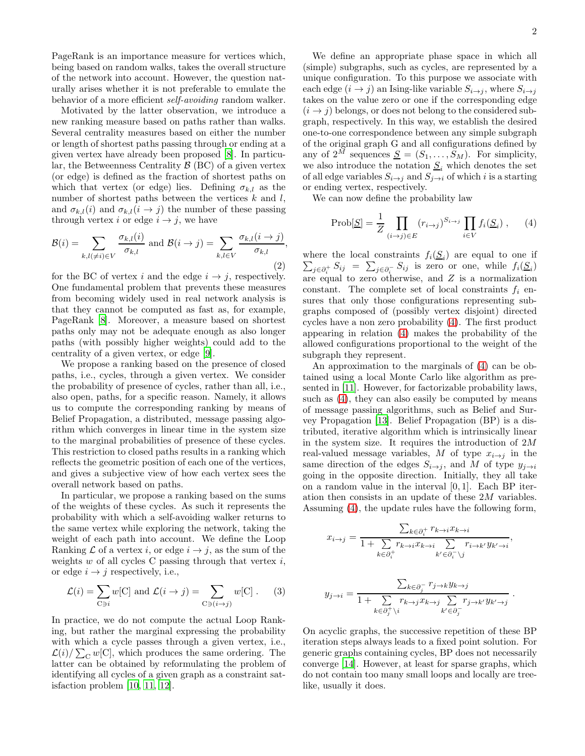PageRank is an importance measure for vertices which, being based on random walks, takes the overall structure of the network into account. However, the question naturally arises whether it is not preferable to emulate the behavior of a more efficient self-avoiding random walker.

Motivated by the latter observation, we introduce a new ranking measure based on paths rather than walks. Several centrality measures based on either the number or length of shortest paths passing through or ending at a given vertex have already been proposed [\[8](#page-3-7)]. In particular, the Betweenness Centrality  $\beta$  (BC) of a given vertex (or edge) is defined as the fraction of shortest paths on which that vertex (or edge) lies. Defining  $\sigma_{k,l}$  as the number of shortest paths between the vertices  $k$  and  $l$ , and  $\sigma_{k,l}(i)$  and  $\sigma_{k,l}(i \to j)$  the number of these passing through vertex i or edge  $i \rightarrow j$ , we have

$$
\mathcal{B}(i) = \sum_{k,l(\neq i)\in V} \frac{\sigma_{k,l}(i)}{\sigma_{k,l}} \text{ and } \mathcal{B}(i \to j) = \sum_{k,l \in V} \frac{\sigma_{k,l}(i \to j)}{\sigma_{k,l}},
$$
\n(2)

for the BC of vertex i and the edge  $i \rightarrow j$ , respectively. One fundamental problem that prevents these measures from becoming widely used in real network analysis is that they cannot be computed as fast as, for example, PageRank [\[8](#page-3-7)]. Moreover, a measure based on shortest paths only may not be adequate enough as also longer paths (with possibly higher weights) could add to the centrality of a given vertex, or edge [\[9\]](#page-3-8).

We propose a ranking based on the presence of closed paths, i.e., cycles, through a given vertex. We consider the probability of presence of cycles, rather than all, i.e., also open, paths, for a specific reason. Namely, it allows us to compute the corresponding ranking by means of Belief Propagation, a distributed, message passing algorithm which converges in linear time in the system size to the marginal probabilities of presence of these cycles. This restriction to closed paths results in a ranking which reflects the geometric position of each one of the vertices, and gives a subjective view of how each vertex sees the overall network based on paths.

In particular, we propose a ranking based on the sums of the weights of these cycles. As such it represents the probability with which a self-avoiding walker returns to the same vertex while exploring the network, taking the weight of each path into account. We define the Loop Ranking  $\mathcal L$  of a vertex i, or edge  $i \to j$ , as the sum of the weights  $w$  of all cycles C passing through that vertex  $i$ , or edge  $i \rightarrow j$  respectively, i.e.,

$$
\mathcal{L}(i) = \sum_{\mathcal{C}\ni i} w[\mathcal{C}] \text{ and } \mathcal{L}(i \to j) = \sum_{\mathcal{C}\ni(i \to j)} w[\mathcal{C}] . \tag{3}
$$

In practice, we do not compute the actual Loop Ranking, but rather the marginal expressing the probability with which a cycle passes through a given vertex, i.e.,  $\mathcal{L}(i)/\sum_{\mathbf{C}} w[\mathbf{C}]$ , which produces the same ordering. The latter can be obtained by reformulating the problem of identifying all cycles of a given graph as a constraint satisfaction problem [\[10](#page-3-9), [11](#page-3-10), [12](#page-3-11)].

We define an appropriate phase space in which all (simple) subgraphs, such as cycles, are represented by a unique configuration. To this purpose we associate with each edge  $(i \rightarrow j)$  an Ising-like variable  $S_{i \rightarrow j}$ , where  $S_{i \rightarrow j}$ takes on the value zero or one if the corresponding edge  $(i \rightarrow j)$  belongs, or does not belong to the considered subgraph, respectively. In this way, we establish the desired one-to-one correspondence between any simple subgraph of the original graph G and all configurations defined by any of  $2^M$  sequences  $S = (S_1, \ldots, S_M)$ . For simplicity, we also introduce the notation  $S_i$  which denotes the set of all edge variables  $S_{i\rightarrow j}$  and  $S_{j\rightarrow i}$  of which i is a starting or ending vertex, respectively.

We can now define the probability law

<span id="page-1-0"></span>
$$
Prob[\underline{S}] = \frac{1}{Z} \prod_{(i \to j) \in E} (r_{i \to j})^{S_{i \to j}} \prod_{i \in V} f_i(\underline{S}_i) , \qquad (4)
$$

where the local constraints  $f_i(\underline{S}_i)$  are equal to one if  $\sum_{j\in\partial_i^+} S_{ij} = \sum_{j\in\partial_i^-} S_{ij}$  is zero or one, while  $f_i(\underline{S}_i)$  $\sum_{j\in\mathcal{O}_i}$  are equal to zero otherwise, and Z is a normalization constant. The complete set of local constraints  $f_i$  ensures that only those configurations representing subgraphs composed of (possibly vertex disjoint) directed cycles have a non zero probability [\(4\)](#page-1-0). The first product appearing in relation [\(4\)](#page-1-0) makes the probability of the allowed configurations proportional to the weight of the subgraph they represent.

An approximation to the marginals of [\(4\)](#page-1-0) can be obtained using a local Monte Carlo like algorithm as presented in [\[11\]](#page-3-10). However, for factorizable probability laws, such as [\(4\)](#page-1-0), they can also easily be computed by means of message passing algorithms, such as Belief and Survey Propagation [\[13](#page-3-12)]. Belief Propagation (BP) is a distributed, iterative algorithm which is intrinsically linear in the system size. It requires the introduction of 2M real-valued message variables, M of type  $x_{i\rightarrow j}$  in the same direction of the edges  $S_{i\rightarrow j}$ , and M of type  $y_{j\rightarrow i}$ going in the opposite direction. Initially, they all take on a random value in the interval [0, 1]. Each BP iteration then consists in an update of these 2M variables. Assuming [\(4\)](#page-1-0), the update rules have the following form,

$$
x_{i \to j} = \frac{\sum_{k \in \partial_i^+} r_{k \to i} x_{k \to i}}{1 + \sum_{k \in \partial_i^+} r_{k \to i} x_{k \to i} \sum_{k' \in \partial_i^- \setminus j} r_{i \to k'} y_{k' \to i}},
$$

$$
y_{j \to i} = \frac{\sum_{k \in \partial_j^-} r_{j \to k} y_{k \to j}}{1 + \sum_{k \in \partial_j^+ \setminus i} r_{k \to j} x_{k \to j} \sum_{k' \in \partial_j^-} r_{j \to k'} y_{k' \to j}}
$$

.

On acyclic graphs, the successive repetition of these BP iteration steps always leads to a fixed point solution. For generic graphs containing cycles, BP does not necessarily converge [\[14](#page-3-13)]. However, at least for sparse graphs, which do not contain too many small loops and locally are treelike, usually it does.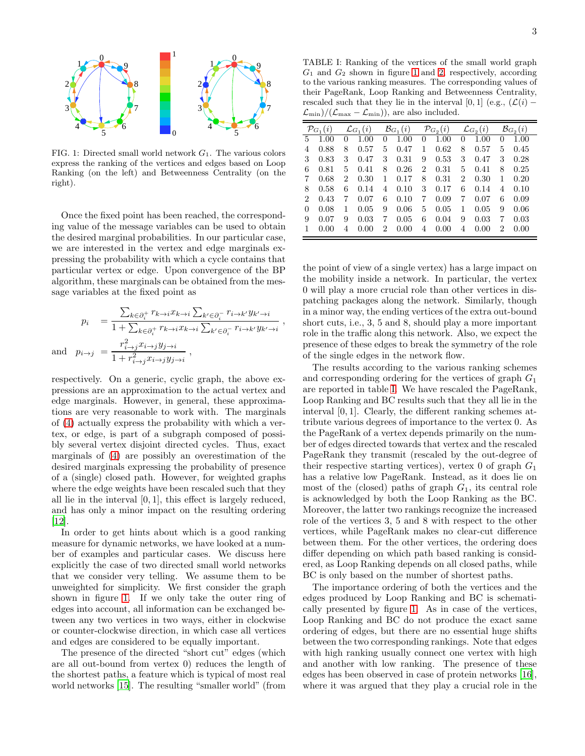

<span id="page-2-0"></span>FIG. 1: Directed small world network  $G_1$ . The various colors express the ranking of the vertices and edges based on Loop Ranking (on the left) and Betweenness Centrality (on the right).

Once the fixed point has been reached, the corresponding value of the message variables can be used to obtain the desired marginal probabilities. In our particular case, we are interested in the vertex and edge marginals expressing the probability with which a cycle contains that particular vertex or edge. Upon convergence of the BP algorithm, these marginals can be obtained from the message variables at the fixed point as

$$
p_i = \frac{\sum_{k \in \partial_i^+} r_{k \to i} x_{k \to i} \sum_{k' \in \partial_i^-} r_{i \to k'} y_{k' \to i}}{1 + \sum_{k \in \partial_i^+} r_{k \to i} x_{k \to i} \sum_{k' \in \partial_i^-} r_{i \to k'} y_{k' \to i}}
$$
  
and 
$$
p_{i \to j} = \frac{r_{i \to j}^2 x_{i \to j} y_{j \to i}}{1 + r_{i \to j}^2 x_{i \to j} y_{j \to i}},
$$

,

respectively. On a generic, cyclic graph, the above expressions are an approximation to the actual vertex and edge marginals. However, in general, these approximations are very reasonable to work with. The marginals of [\(4\)](#page-1-0) actually express the probability with which a vertex, or edge, is part of a subgraph composed of possibly several vertex disjoint directed cycles. Thus, exact marginals of [\(4\)](#page-1-0) are possibly an overestimation of the desired marginals expressing the probability of presence of a (single) closed path. However, for weighted graphs where the edge weights have been rescaled such that they all lie in the interval [0, 1], this effect is largely reduced, and has only a minor impact on the resulting ordering [\[12\]](#page-3-11).

In order to get hints about which is a good ranking measure for dynamic networks, we have looked at a number of examples and particular cases. We discuss here explicitly the case of two directed small world networks that we consider very telling. We assume them to be unweighted for simplicity. We first consider the graph shown in figure [1.](#page-2-0) If we only take the outer ring of edges into account, all information can be exchanged between any two vertices in two ways, either in clockwise or counter-clockwise direction, in which case all vertices and edges are considered to be equally important.

The presence of the directed "short cut" edges (which are all out-bound from vertex 0) reduces the length of the shortest paths, a feature which is typical of most real world networks [\[15\]](#page-3-14). The resulting "smaller world" (from

<span id="page-2-1"></span>TABLE I: Ranking of the vertices of the small world graph  $G_1$  and  $G_2$  shown in figure [1](#page-2-0) and [2,](#page-3-15) respectively, according to the various ranking measures. The corresponding values of their PageRank, Loop Ranking and Betweenness Centrality, rescaled such that they lie in the interval [0, 1] (e.g.,  $(\mathcal{L}(i)$  –  $\mathcal{L}_{\text{min}}/(\mathcal{L}_{\text{max}} - \mathcal{L}_{\text{min}})$ , are also included.

| $\mathcal{P}_{G_1}(i)$ |      | $\mathcal{L}_{G_1}(i)$ |      | $B_{G_1}(i)$ |      | $\mathcal{P}_{G_2}(i)$ |      | $\mathcal{L}_{G_2}(i)$ |      | $B_{G_2}(i)$ |      |
|------------------------|------|------------------------|------|--------------|------|------------------------|------|------------------------|------|--------------|------|
| -5                     | 1.00 | $^{(1)}$               | 1.00 | $\theta$     | 1.00 | $\theta$               | 1.00 | $\theta$               | 1.00 | $^{(1)}$     | 1.00 |
| 4                      | 0.88 | 8                      | 0.57 | 5            | 0.47 | 1                      | 0.62 | 8                      | 0.57 | 5            | 0.45 |
| 3                      | 0.83 | 3                      | 0.47 | 3            | 0.31 | 9                      | 0.53 | 3                      | 0.47 | 3            | 0.28 |
| 6                      | 0.81 | 5                      | 0.41 | 8            | 0.26 | $\overline{2}$         | 0.31 | 5                      | 0.41 | 8            | 0.25 |
| 7                      | 0.68 | $\overline{2}$         | 0.30 | 1            | 0.17 | 8                      | 0.31 | $\overline{2}$         | 0.30 | 1            | 0.20 |
| 8                      | 0.58 | 6                      | 0.14 | 4            | 0.10 | 3                      | 0.17 | 6                      | 0.14 | 4            | 0.10 |
| $\overline{2}$         | 0.43 | 7                      | 0.07 | 6            | 0.10 | 7                      | 0.09 | 7                      | 0.07 | 6            | 0.09 |
| $\overline{0}$         | 0.08 | 1                      | 0.05 | 9            | 0.06 | 5                      | 0.05 | 1                      | 0.05 | 9            | 0.06 |
| 9                      | 0.07 | 9                      | 0.03 | 7            | 0.05 | 6                      | 0.04 | 9                      | 0.03 | 7            | 0.03 |
| -1                     | 0.00 | 4                      | 0.00 | 2            | 0.00 | 4                      | 0.00 | 4                      | 0.00 | 2            | 0.00 |

the point of view of a single vertex) has a large impact on the mobility inside a network. In particular, the vertex 0 will play a more crucial role than other vertices in dispatching packages along the network. Similarly, though in a minor way, the ending vertices of the extra out-bound short cuts, i.e., 3, 5 and 8, should play a more important role in the traffic along this network. Also, we expect the presence of these edges to break the symmetry of the role of the single edges in the network flow.

The results according to the various ranking schemes and corresponding ordering for the vertices of graph  $G_1$ are reported in table [I.](#page-2-1) We have rescaled the PageRank, Loop Ranking and BC results such that they all lie in the interval [0, 1]. Clearly, the different ranking schemes attribute various degrees of importance to the vertex 0. As the PageRank of a vertex depends primarily on the number of edges directed towards that vertex and the rescaled PageRank they transmit (rescaled by the out-degree of their respective starting vertices), vertex 0 of graph  $G_1$ has a relative low PageRank. Instead, as it does lie on most of the (closed) paths of graph  $G_1$ , its central role is acknowledged by both the Loop Ranking as the BC. Moreover, the latter two rankings recognize the increased role of the vertices 3, 5 and 8 with respect to the other vertices, while PageRank makes no clear-cut difference between them. For the other vertices, the ordering does differ depending on which path based ranking is considered, as Loop Ranking depends on all closed paths, while BC is only based on the number of shortest paths.

The importance ordering of both the vertices and the edges produced by Loop Ranking and BC is schematically presented by figure [1.](#page-2-0) As in case of the vertices, Loop Ranking and BC do not produce the exact same ordering of edges, but there are no essential huge shifts between the two corresponding rankings. Note that edges with high ranking usually connect one vertex with high and another with low ranking. The presence of these edges has been observed in case of protein networks [\[16\]](#page-3-16), where it was argued that they play a crucial role in the